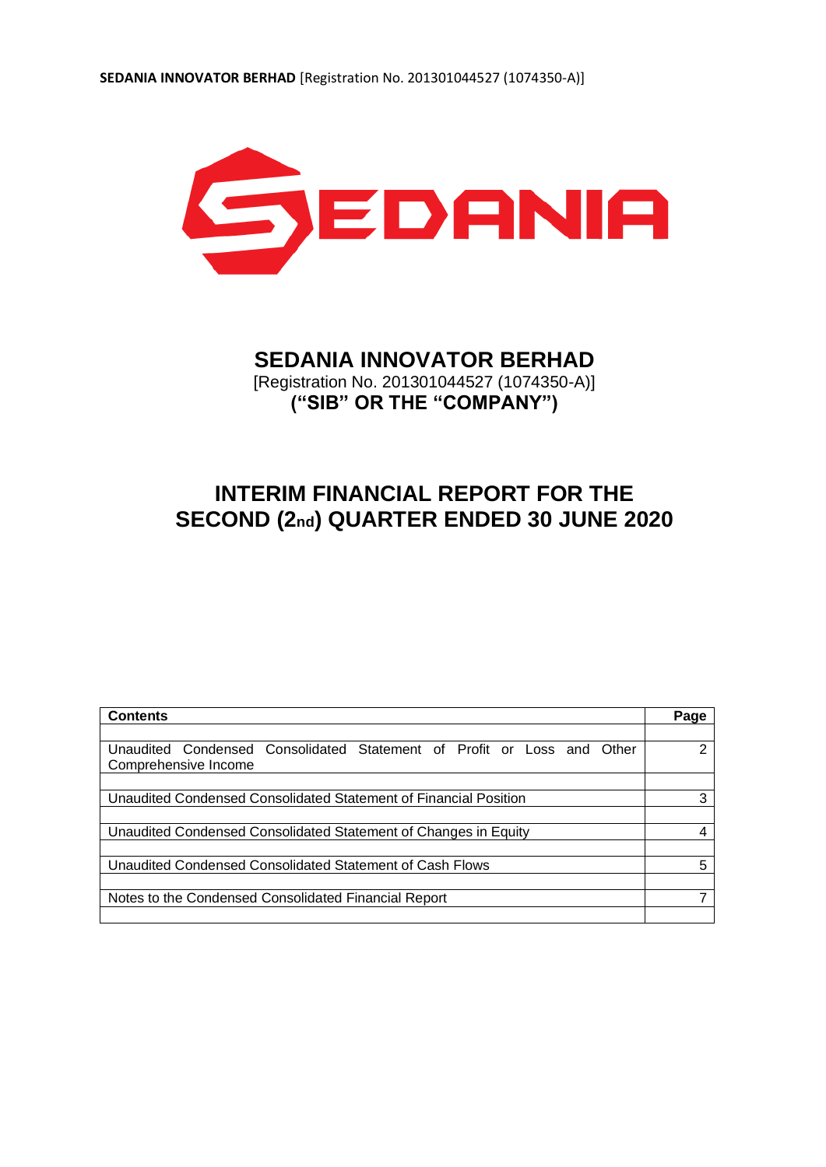

# **SEDANIA INNOVATOR BERHAD**

[Registration No. 201301044527 (1074350-A)] **("SIB" OR THE "COMPANY")**

# **INTERIM FINANCIAL REPORT FOR THE SECOND (2nd) QUARTER ENDED 30 JUNE 2020**

| <b>Contents</b>                                                           | Page |
|---------------------------------------------------------------------------|------|
|                                                                           |      |
| Unaudited Condensed Consolidated Statement of Profit or Loss and<br>Other | າ    |
| Comprehensive Income                                                      |      |
|                                                                           |      |
| Unaudited Condensed Consolidated Statement of Financial Position          | 3    |
|                                                                           |      |
| Unaudited Condensed Consolidated Statement of Changes in Equity           |      |
|                                                                           |      |
| Unaudited Condensed Consolidated Statement of Cash Flows                  | 5    |
|                                                                           |      |
| Notes to the Condensed Consolidated Financial Report                      |      |
|                                                                           |      |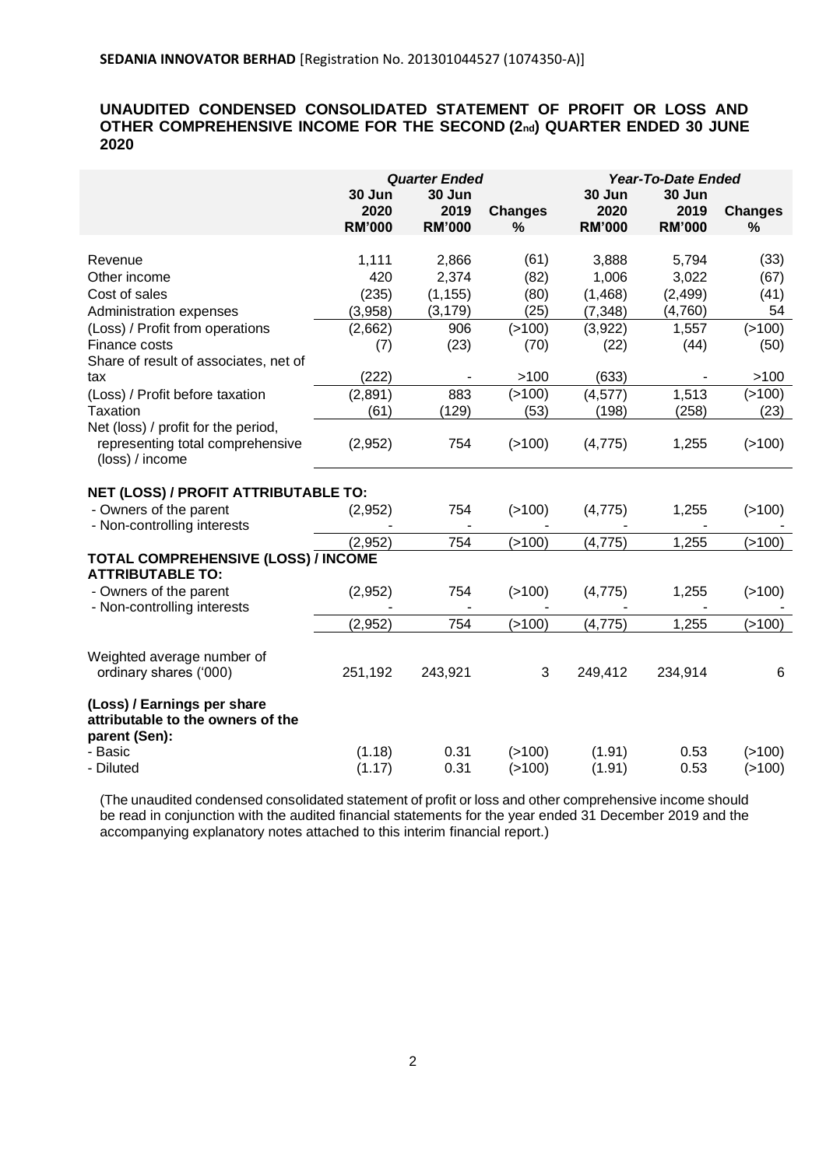# **UNAUDITED CONDENSED CONSOLIDATED STATEMENT OF PROFIT OR LOSS AND OTHER COMPREHENSIVE INCOME FOR THE SECOND (2nd) QUARTER ENDED 30 JUNE 2020**

|                                                                                            | <b>Quarter Ended</b>            |                                 |                     | <b>Year-To-Date Ended</b>       |                                 |                        |  |
|--------------------------------------------------------------------------------------------|---------------------------------|---------------------------------|---------------------|---------------------------------|---------------------------------|------------------------|--|
|                                                                                            | 30 Jun<br>2020<br><b>RM'000</b> | 30 Jun<br>2019<br><b>RM'000</b> | <b>Changes</b><br>% | 30 Jun<br>2020<br><b>RM'000</b> | 30 Jun<br>2019<br><b>RM'000</b> | <b>Changes</b><br>$\%$ |  |
|                                                                                            |                                 |                                 |                     |                                 |                                 |                        |  |
| Revenue                                                                                    | 1,111                           | 2,866                           | (61)                | 3,888                           | 5,794                           | (33)                   |  |
| Other income                                                                               | 420                             | 2,374                           | (82)                | 1,006                           | 3,022                           | (67)                   |  |
| Cost of sales                                                                              | (235)                           | (1, 155)                        | (80)                | (1,468)                         | (2, 499)                        | (41)                   |  |
| Administration expenses                                                                    | (3,958)                         | (3, 179)                        | (25)                | (7, 348)                        | (4,760)                         | 54                     |  |
| (Loss) / Profit from operations                                                            | (2,662)                         | 906                             | (>100)              | (3,922)                         | 1,557                           | (>100)                 |  |
| Finance costs<br>Share of result of associates, net of                                     | (7)                             | (23)                            | (70)                | (22)                            | (44)                            | (50)                   |  |
| tax                                                                                        | (222)                           |                                 | >100                | (633)                           |                                 | >100                   |  |
| (Loss) / Profit before taxation                                                            | (2,891)                         | 883                             | ( > 100)            | (4, 577)                        | 1,513                           | (>100)                 |  |
| Taxation                                                                                   | (61)                            | (129)                           | (53)                | (198)                           | (258)                           | (23)                   |  |
| Net (loss) / profit for the period,<br>representing total comprehensive<br>(loss) / income | (2,952)                         | 754                             | (>100)              | (4, 775)                        | 1,255                           | (>100)                 |  |
|                                                                                            |                                 |                                 |                     |                                 |                                 |                        |  |
| NET (LOSS) / PROFIT ATTRIBUTABLE TO:                                                       |                                 |                                 |                     |                                 |                                 |                        |  |
| - Owners of the parent<br>- Non-controlling interests                                      | (2,952)                         | 754                             | (>100)              | (4, 775)                        | 1,255                           | (>100)                 |  |
|                                                                                            | (2,952)                         | 754                             | (>100)              | (4, 775)                        | 1,255                           | ( > 100)               |  |
| TOTAL COMPREHENSIVE (LOSS) / INCOME<br><b>ATTRIBUTABLE TO:</b>                             |                                 |                                 |                     |                                 |                                 |                        |  |
| - Owners of the parent<br>- Non-controlling interests                                      | (2,952)                         | 754                             | (>100)              | (4, 775)                        | 1,255                           | (>100)                 |  |
|                                                                                            | (2,952)                         | 754                             | (>100)              | (4, 775)                        | 1,255                           | (>100)                 |  |
| Weighted average number of<br>ordinary shares ('000)                                       | 251,192                         | 243,921                         | 3                   | 249,412                         | 234,914                         | 6                      |  |
| (Loss) / Earnings per share<br>attributable to the owners of the<br>parent (Sen):          |                                 |                                 |                     |                                 |                                 |                        |  |
| - Basic                                                                                    | (1.18)                          | 0.31                            | ( > 100)            | (1.91)                          | 0.53                            | (>100)                 |  |
| - Diluted                                                                                  | (1.17)                          | 0.31                            | ( > 100)            | (1.91)                          | 0.53                            | ( > 100)               |  |

(The unaudited condensed consolidated statement of profit or loss and other comprehensive income should be read in conjunction with the audited financial statements for the year ended 31 December 2019 and the accompanying explanatory notes attached to this interim financial report.)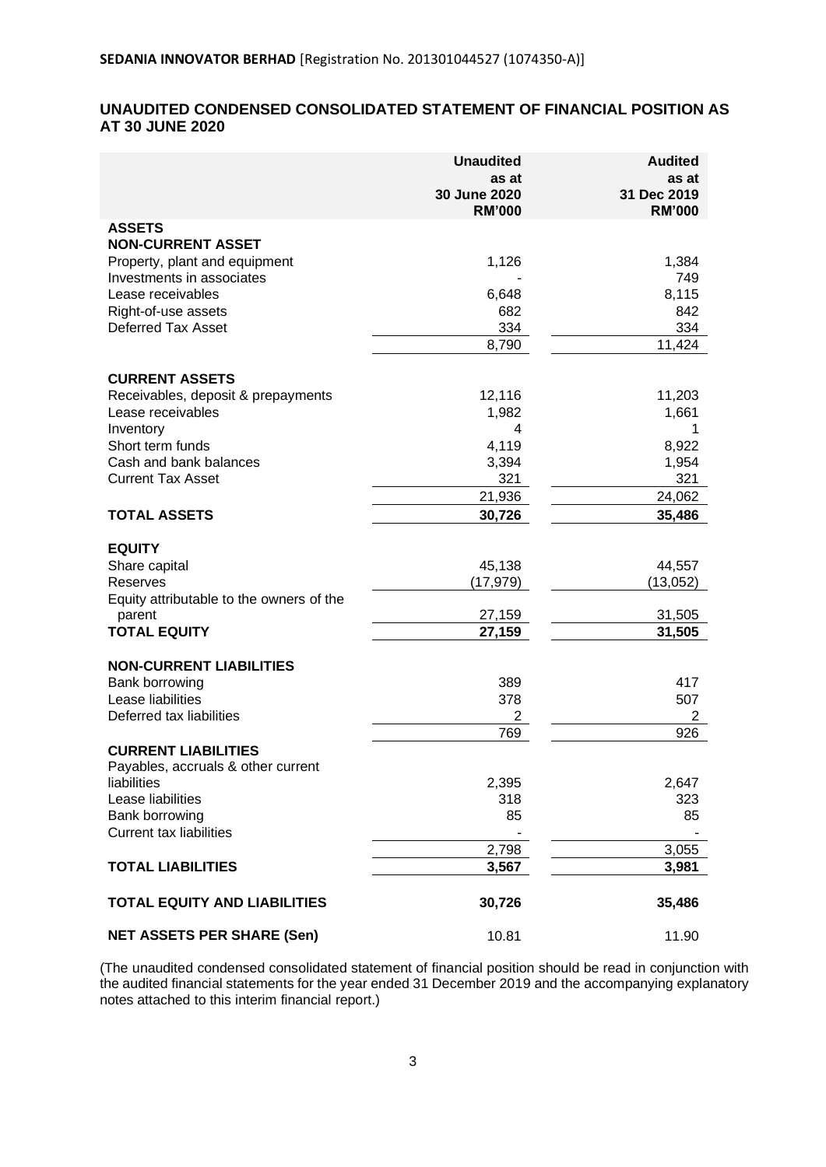# **UNAUDITED CONDENSED CONSOLIDATED STATEMENT OF FINANCIAL POSITION AS AT 30 JUNE 2020**

|                                                            | <b>Unaudited</b><br>as at     | <b>Audited</b><br>as at      |
|------------------------------------------------------------|-------------------------------|------------------------------|
|                                                            | 30 June 2020<br><b>RM'000</b> | 31 Dec 2019<br><b>RM'000</b> |
| <b>ASSETS</b>                                              |                               |                              |
| <b>NON-CURRENT ASSET</b>                                   |                               |                              |
| Property, plant and equipment<br>Investments in associates | 1,126                         | 1,384<br>749                 |
| Lease receivables                                          | 6,648                         | 8,115                        |
| Right-of-use assets                                        | 682                           | 842                          |
| <b>Deferred Tax Asset</b>                                  | 334                           | 334                          |
|                                                            | 8,790                         | 11,424                       |
| <b>CURRENT ASSETS</b>                                      |                               |                              |
| Receivables, deposit & prepayments                         | 12,116                        | 11,203                       |
| Lease receivables                                          | 1,982                         | 1,661                        |
| Inventory                                                  | 4                             |                              |
| Short term funds                                           | 4,119                         | 8,922                        |
| Cash and bank balances                                     | 3,394                         | 1,954                        |
| <b>Current Tax Asset</b>                                   | 321                           | 321                          |
|                                                            | 21,936                        | 24,062                       |
| <b>TOTAL ASSETS</b>                                        | 30,726                        | 35,486                       |
| <b>EQUITY</b>                                              |                               |                              |
| Share capital                                              | 45,138                        | 44,557                       |
| Reserves                                                   | (17,979)                      | (13,052)                     |
| Equity attributable to the owners of the                   |                               |                              |
| parent                                                     | 27,159                        | 31,505                       |
| <b>TOTAL EQUITY</b>                                        | 27,159                        | 31,505                       |
| <b>NON-CURRENT LIABILITIES</b>                             |                               |                              |
| Bank borrowing                                             | 389                           | 417                          |
| Lease liabilities                                          | 378                           | 507                          |
| Deferred tax liabilities                                   | $\overline{2}$                | 2                            |
|                                                            | 769                           | 926                          |
| <b>CURRENT LIABILITIES</b>                                 |                               |                              |
| Payables, accruals & other current<br>liabilities          | 2,395                         | 2,647                        |
| Lease liabilities                                          | 318                           | 323                          |
| Bank borrowing                                             | 85                            | 85                           |
| <b>Current tax liabilities</b>                             |                               |                              |
|                                                            | 2,798                         | 3,055                        |
| <b>TOTAL LIABILITIES</b>                                   | 3,567                         | 3,981                        |
| <b>TOTAL EQUITY AND LIABILITIES</b>                        | 30,726                        | 35,486                       |
| <b>NET ASSETS PER SHARE (Sen)</b>                          | 10.81                         | 11.90                        |

(The unaudited condensed consolidated statement of financial position should be read in conjunction with the audited financial statements for the year ended 31 December 2019 and the accompanying explanatory notes attached to this interim financial report.)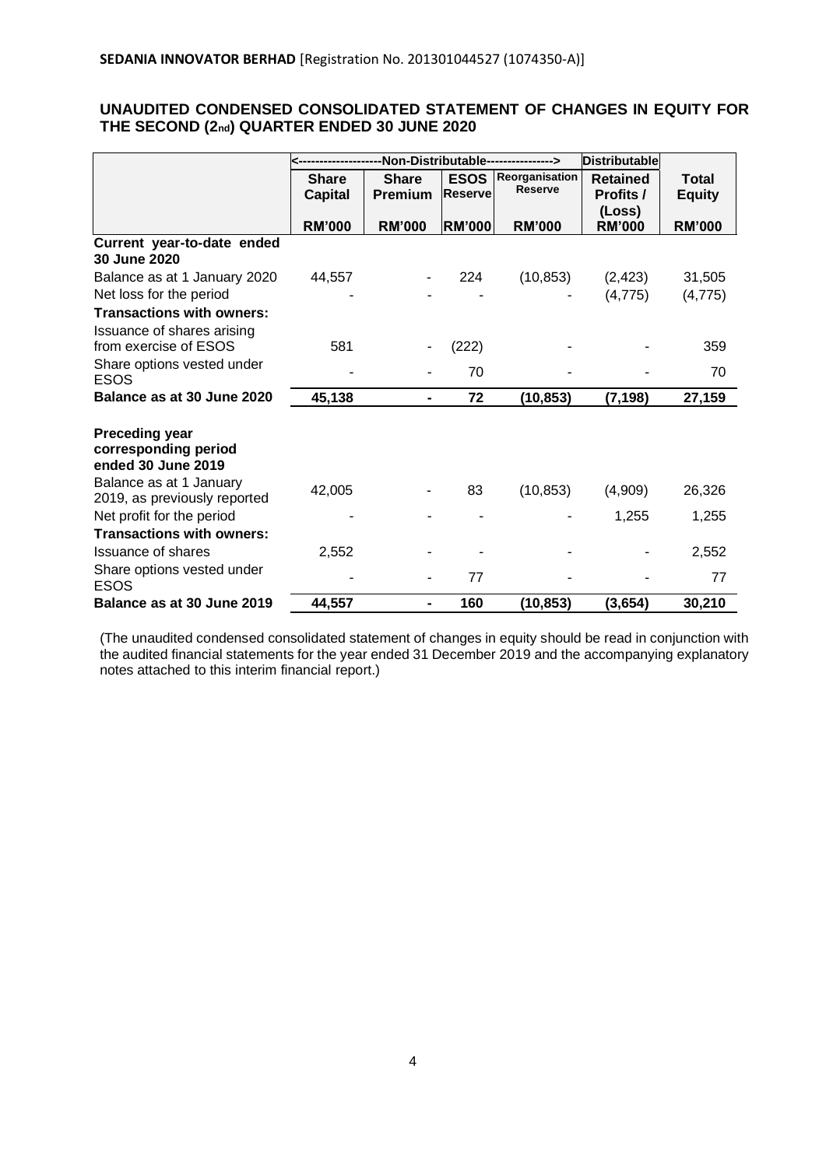# **UNAUDITED CONDENSED CONSOLIDATED STATEMENT OF CHANGES IN EQUITY FOR THE SECOND (2nd) QUARTER ENDED 30 JUNE 2020**

|                                                                     | -Non-Distributable----------------> |               |                | <b>Distributable</b> |                 |               |
|---------------------------------------------------------------------|-------------------------------------|---------------|----------------|----------------------|-----------------|---------------|
|                                                                     | <b>Share</b>                        | <b>Share</b>  | <b>ESOS</b>    | Reorganisation       | <b>Retained</b> | <b>Total</b>  |
|                                                                     | <b>Capital</b>                      | Premium       | <b>Reserve</b> | <b>Reserve</b>       | Profits /       | <b>Equity</b> |
|                                                                     |                                     |               |                |                      | (Loss)          |               |
|                                                                     | <b>RM'000</b>                       | <b>RM'000</b> | <b>RM'000</b>  | <b>RM'000</b>        | <b>RM'000</b>   | <b>RM'000</b> |
| Current year-to-date ended<br>30 June 2020                          |                                     |               |                |                      |                 |               |
| Balance as at 1 January 2020                                        | 44,557                              |               | 224            | (10, 853)            | (2, 423)        | 31,505        |
| Net loss for the period                                             |                                     |               |                |                      | (4, 775)        | (4, 775)      |
| <b>Transactions with owners:</b>                                    |                                     |               |                |                      |                 |               |
| Issuance of shares arising<br>from exercise of ESOS                 | 581                                 |               | (222)          |                      |                 | 359           |
| Share options vested under                                          |                                     |               |                |                      |                 |               |
| ESOS                                                                |                                     |               | 70             |                      |                 | 70            |
| Balance as at 30 June 2020                                          | 45,138                              | -             | 72             | (10, 853)            | (7, 198)        | 27,159        |
| <b>Preceding year</b><br>corresponding period<br>ended 30 June 2019 |                                     |               |                |                      |                 |               |
| Balance as at 1 January<br>2019, as previously reported             | 42,005                              |               | 83             | (10, 853)            | (4,909)         | 26,326        |
| Net profit for the period                                           |                                     |               |                |                      | 1,255           | 1,255         |
| <b>Transactions with owners:</b>                                    |                                     |               |                |                      |                 |               |
| Issuance of shares                                                  | 2,552                               |               |                |                      |                 | 2,552         |
| Share options vested under<br><b>ESOS</b>                           |                                     |               | 77             |                      |                 | 77            |
| Balance as at 30 June 2019                                          | 44,557                              |               | 160            | (10, 853)            | (3,654)         | 30,210        |

(The unaudited condensed consolidated statement of changes in equity should be read in conjunction with the audited financial statements for the year ended 31 December 2019 and the accompanying explanatory notes attached to this interim financial report.)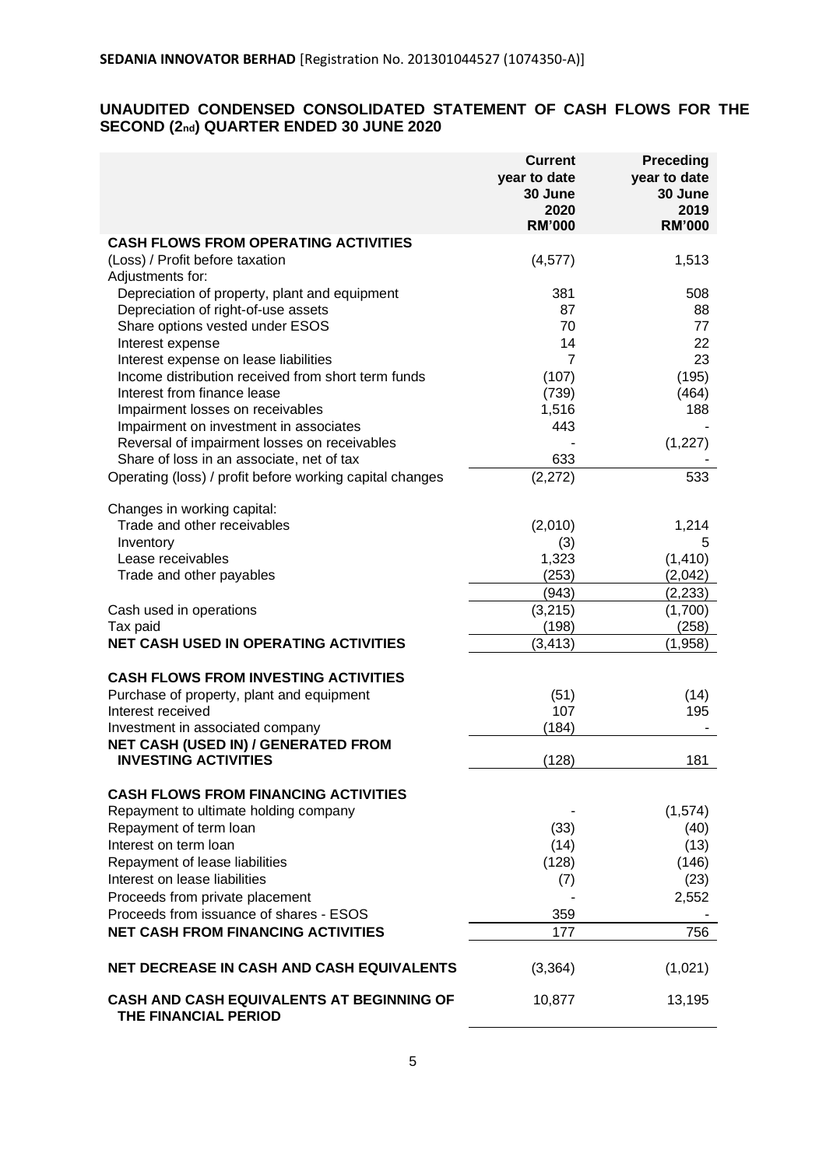# **UNAUDITED CONDENSED CONSOLIDATED STATEMENT OF CASH FLOWS FOR THE SECOND (2nd) QUARTER ENDED 30 JUNE 2020**

|                                                                   | <b>Current</b><br>year to date<br>30 June<br>2020<br><b>RM'000</b> | <b>Preceding</b><br>year to date<br>30 June<br>2019<br><b>RM'000</b> |
|-------------------------------------------------------------------|--------------------------------------------------------------------|----------------------------------------------------------------------|
| <b>CASH FLOWS FROM OPERATING ACTIVITIES</b>                       |                                                                    |                                                                      |
| (Loss) / Profit before taxation                                   | (4, 577)                                                           | 1,513                                                                |
| Adjustments for:                                                  |                                                                    |                                                                      |
| Depreciation of property, plant and equipment                     | 381                                                                | 508                                                                  |
| Depreciation of right-of-use assets                               | 87                                                                 | 88                                                                   |
| Share options vested under ESOS                                   | 70                                                                 | 77                                                                   |
| Interest expense                                                  | 14                                                                 | 22                                                                   |
| Interest expense on lease liabilities                             | 7                                                                  | 23                                                                   |
| Income distribution received from short term funds                | (107)                                                              | (195)                                                                |
| Interest from finance lease                                       | (739)                                                              | (464)                                                                |
| Impairment losses on receivables                                  | 1,516                                                              | 188                                                                  |
| Impairment on investment in associates                            | 443                                                                |                                                                      |
| Reversal of impairment losses on receivables                      |                                                                    | (1,227)                                                              |
| Share of loss in an associate, net of tax                         | 633                                                                |                                                                      |
| Operating (loss) / profit before working capital changes          | (2,272)                                                            | 533                                                                  |
| Changes in working capital:                                       |                                                                    |                                                                      |
| Trade and other receivables                                       | (2,010)                                                            | 1,214                                                                |
| Inventory                                                         | (3)                                                                | 5                                                                    |
| Lease receivables                                                 | 1,323                                                              | (1, 410)                                                             |
| Trade and other payables                                          | (253)                                                              | (2,042)                                                              |
|                                                                   | (943)                                                              | (2, 233)                                                             |
| Cash used in operations                                           | (3,215)                                                            | (1,700)                                                              |
| Tax paid<br><b>NET CASH USED IN OPERATING ACTIVITIES</b>          | (198)<br>(3, 413)                                                  | (258)<br>(1,958)                                                     |
|                                                                   |                                                                    |                                                                      |
| <b>CASH FLOWS FROM INVESTING ACTIVITIES</b>                       |                                                                    |                                                                      |
| Purchase of property, plant and equipment                         | (51)                                                               | (14)                                                                 |
| Interest received                                                 | 107                                                                | 195                                                                  |
| Investment in associated company                                  | (184)                                                              |                                                                      |
| NET CASH (USED IN) / GENERATED FROM                               |                                                                    |                                                                      |
| <b>INVESTING ACTIVITIES</b>                                       | (128)                                                              | 181                                                                  |
| <b>CASH FLOWS FROM FINANCING ACTIVITIES</b>                       |                                                                    |                                                                      |
| Repayment to ultimate holding company                             |                                                                    | (1,574)                                                              |
| Repayment of term loan                                            | (33)                                                               | (40)                                                                 |
| Interest on term loan                                             | (14)                                                               | (13)                                                                 |
| Repayment of lease liabilities                                    | (128)                                                              | (146)                                                                |
| Interest on lease liabilities                                     | (7)                                                                | (23)                                                                 |
| Proceeds from private placement                                   |                                                                    | 2,552                                                                |
| Proceeds from issuance of shares - ESOS                           | 359                                                                |                                                                      |
| <b>NET CASH FROM FINANCING ACTIVITIES</b>                         | 177                                                                | 756                                                                  |
| <b>NET DECREASE IN CASH AND CASH EQUIVALENTS</b>                  | (3, 364)                                                           | (1,021)                                                              |
| CASH AND CASH EQUIVALENTS AT BEGINNING OF<br>THE FINANCIAL PERIOD | 10,877                                                             | 13,195                                                               |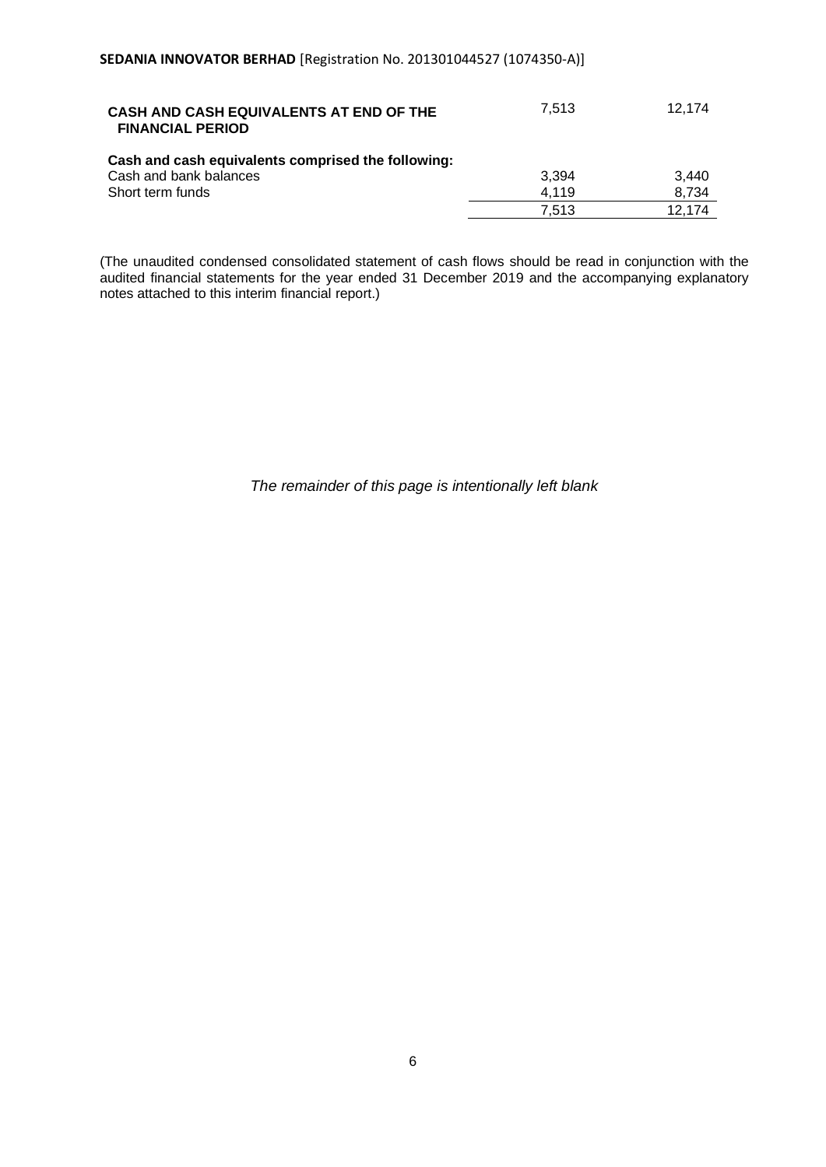| CASH AND CASH EQUIVALENTS AT END OF THE<br><b>FINANCIAL PERIOD</b> | 7.513 | 12.174 |
|--------------------------------------------------------------------|-------|--------|
| Cash and cash equivalents comprised the following:                 |       |        |
| Cash and bank balances                                             | 3.394 | 3.440  |
| Short term funds                                                   | 4.119 | 8.734  |
|                                                                    | 7.513 | 12.174 |

(The unaudited condensed consolidated statement of cash flows should be read in conjunction with the audited financial statements for the year ended 31 December 2019 and the accompanying explanatory notes attached to this interim financial report.)

*The remainder of this page is intentionally left blank*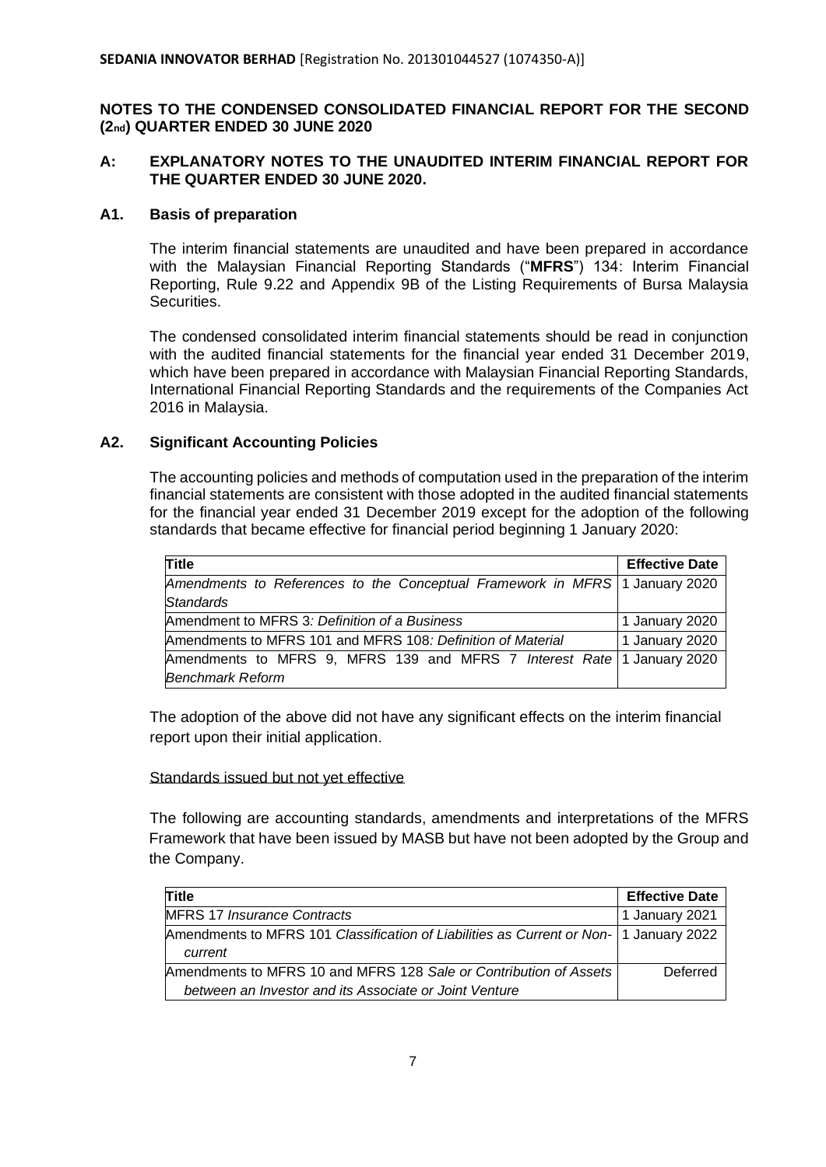# **NOTES TO THE CONDENSED CONSOLIDATED FINANCIAL REPORT FOR THE SECOND (2nd) QUARTER ENDED 30 JUNE 2020**

# **A: EXPLANATORY NOTES TO THE UNAUDITED INTERIM FINANCIAL REPORT FOR THE QUARTER ENDED 30 JUNE 2020.**

# **A1. Basis of preparation**

The interim financial statements are unaudited and have been prepared in accordance with the Malaysian Financial Reporting Standards ("**MFRS**") 134: Interim Financial Reporting, Rule 9.22 and Appendix 9B of the Listing Requirements of Bursa Malaysia Securities.

The condensed consolidated interim financial statements should be read in conjunction with the audited financial statements for the financial year ended 31 December 2019, which have been prepared in accordance with Malaysian Financial Reporting Standards, International Financial Reporting Standards and the requirements of the Companies Act 2016 in Malaysia.

# **A2. Significant Accounting Policies**

The accounting policies and methods of computation used in the preparation of the interim financial statements are consistent with those adopted in the audited financial statements for the financial year ended 31 December 2019 except for the adoption of the following standards that became effective for financial period beginning 1 January 2020:

| <b>Title</b>                                                                | <b>Effective Date</b> |
|-----------------------------------------------------------------------------|-----------------------|
| Amendments to References to the Conceptual Framework in MFRS 1 January 2020 |                       |
| Standards                                                                   |                       |
| Amendment to MFRS 3: Definition of a Business                               | 1 January 2020        |
| Amendments to MFRS 101 and MFRS 108: Definition of Material                 | 1 January 2020        |
| Amendments to MFRS 9, MFRS 139 and MFRS 7 Interest Rate   1 January 2020    |                       |
| <b>Benchmark Reform</b>                                                     |                       |

The adoption of the above did not have any significant effects on the interim financial report upon their initial application.

#### Standards issued but not yet effective

The following are accounting standards, amendments and interpretations of the MFRS Framework that have been issued by MASB but have not been adopted by the Group and the Company.

| Title                                                                                               | <b>Effective Date</b> |
|-----------------------------------------------------------------------------------------------------|-----------------------|
| <b>MFRS 17 Insurance Contracts</b>                                                                  | 1 January 2021        |
| Amendments to MFRS 101 Classification of Liabilities as Current or Non-   1 January 2022<br>current |                       |
| Amendments to MFRS 10 and MFRS 128 Sale or Contribution of Assets                                   | Deferred              |
| between an Investor and its Associate or Joint Venture                                              |                       |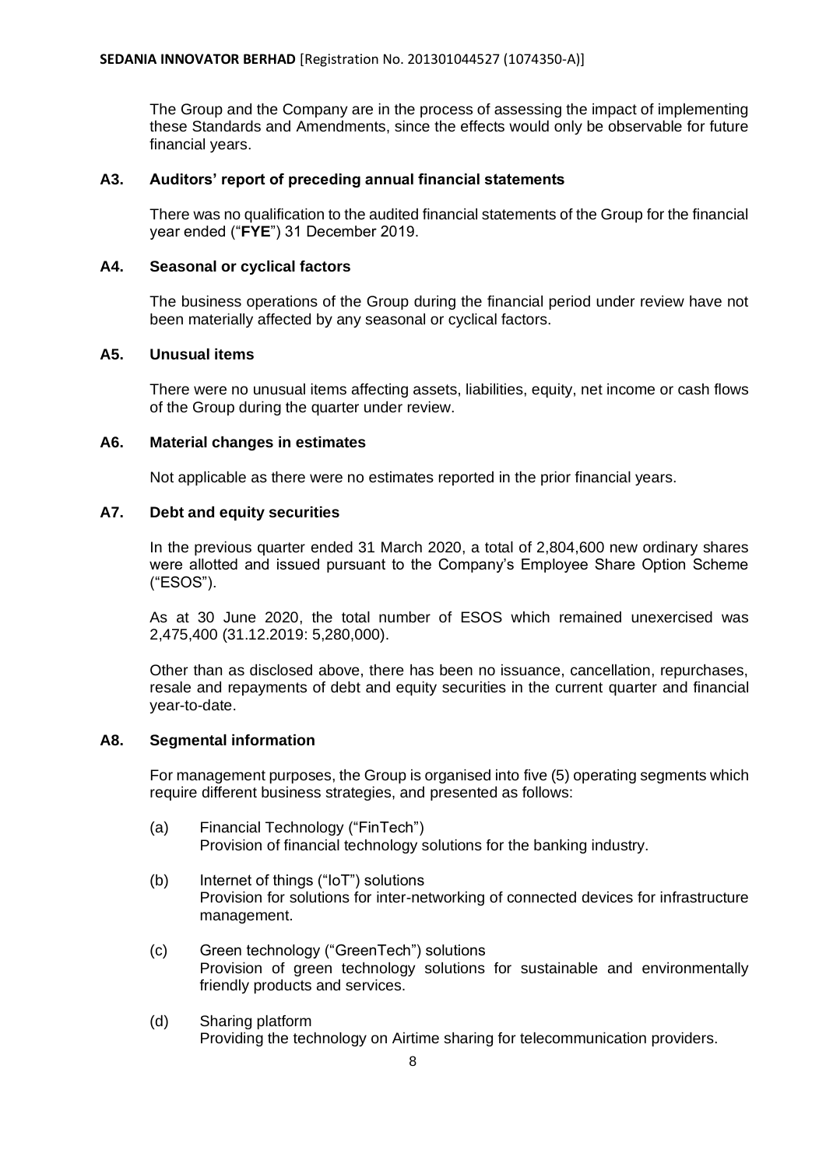The Group and the Company are in the process of assessing the impact of implementing these Standards and Amendments, since the effects would only be observable for future financial years.

# **A3. Auditors' report of preceding annual financial statements**

There was no qualification to the audited financial statements of the Group for the financial year ended ("**FYE**") 31 December 2019.

## **A4. Seasonal or cyclical factors**

The business operations of the Group during the financial period under review have not been materially affected by any seasonal or cyclical factors.

# **A5. Unusual items**

There were no unusual items affecting assets, liabilities, equity, net income or cash flows of the Group during the quarter under review.

# **A6. Material changes in estimates**

Not applicable as there were no estimates reported in the prior financial years.

# **A7. Debt and equity securities**

In the previous quarter ended 31 March 2020, a total of 2,804,600 new ordinary shares were allotted and issued pursuant to the Company's Employee Share Option Scheme ("ESOS").

As at 30 June 2020, the total number of ESOS which remained unexercised was 2,475,400 (31.12.2019: 5,280,000).

Other than as disclosed above, there has been no issuance, cancellation, repurchases, resale and repayments of debt and equity securities in the current quarter and financial year-to-date.

### **A8. Segmental information**

For management purposes, the Group is organised into five (5) operating segments which require different business strategies, and presented as follows:

- (a) Financial Technology ("FinTech") Provision of financial technology solutions for the banking industry.
- (b) Internet of things ("IoT") solutions Provision for solutions for inter-networking of connected devices for infrastructure management.
- (c) Green technology ("GreenTech") solutions Provision of green technology solutions for sustainable and environmentally friendly products and services.
- (d) Sharing platform Providing the technology on Airtime sharing for telecommunication providers.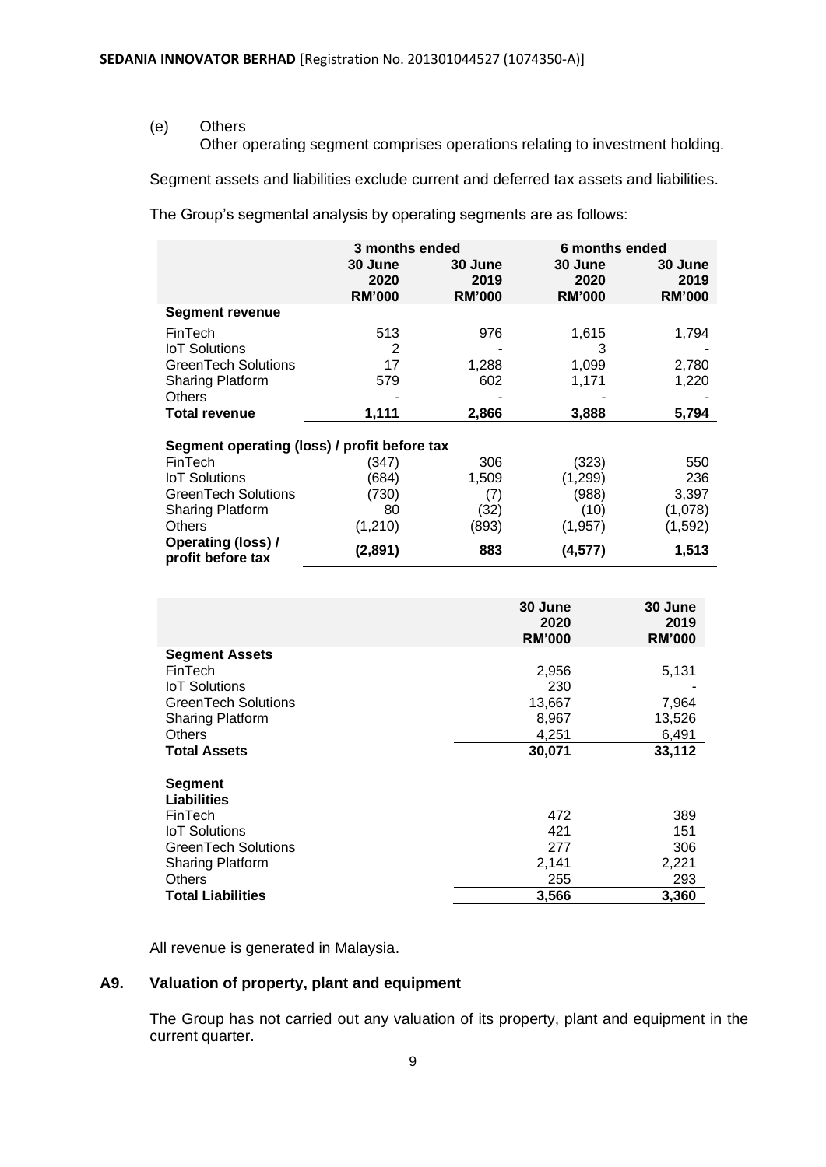(e) Others

Other operating segment comprises operations relating to investment holding.

Segment assets and liabilities exclude current and deferred tax assets and liabilities.

The Group's segmental analysis by operating segments are as follows:

|                                                | 3 months ended                   |                                  |                                  | 6 months ended                   |
|------------------------------------------------|----------------------------------|----------------------------------|----------------------------------|----------------------------------|
|                                                | 30 June<br>2020<br><b>RM'000</b> | 30 June<br>2019<br><b>RM'000</b> | 30 June<br>2020<br><b>RM'000</b> | 30 June<br>2019<br><b>RM'000</b> |
| <b>Segment revenue</b>                         |                                  |                                  |                                  |                                  |
| FinTech                                        | 513                              | 976                              | 1,615                            | 1,794                            |
| <b>IoT</b> Solutions                           | 2                                |                                  | 3                                |                                  |
| <b>GreenTech Solutions</b>                     | 17                               | 1,288                            | 1,099                            | 2,780                            |
| <b>Sharing Platform</b>                        | 579                              | 602                              | 1,171                            | 1,220                            |
| <b>Others</b>                                  |                                  |                                  |                                  |                                  |
| <b>Total revenue</b>                           | 1,111                            | 2,866                            | 3,888                            | 5,794                            |
| Segment operating (loss) / profit before tax   |                                  |                                  |                                  |                                  |
| FinTech                                        | (347)                            | 306                              | (323)                            | 550                              |
| <b>IoT</b> Solutions                           | (684)                            | 1,509                            | (1,299)                          | 236                              |
| GreenTech Solutions                            | (730)                            | (7)                              | (988)                            | 3,397                            |
| <b>Sharing Platform</b>                        | 80                               | (32)                             | (10)                             | (1,078)                          |
| <b>Others</b>                                  | (1,210)                          | (893)                            | (1, 957)                         | (1,592)                          |
| <b>Operating (loss) /</b><br>profit before tax | (2,891)                          | 883                              | (4, 577)                         | 1,513                            |

|                          | 30 June<br>2020<br><b>RM'000</b> | 30 June<br>2019<br><b>RM'000</b> |
|--------------------------|----------------------------------|----------------------------------|
| <b>Segment Assets</b>    |                                  |                                  |
| FinTech                  | 2,956                            | 5,131                            |
| <b>IoT</b> Solutions     | 230                              |                                  |
| GreenTech Solutions      | 13,667                           | 7,964                            |
| <b>Sharing Platform</b>  | 8,967                            | 13,526                           |
| <b>Others</b>            | 4,251                            | 6,491                            |
| <b>Total Assets</b>      | 30,071                           | 33,112                           |
| <b>Segment</b>           |                                  |                                  |
| Liabilities              |                                  |                                  |
| FinTech                  | 472                              | 389                              |
| <b>IoT Solutions</b>     | 421                              | 151                              |
| GreenTech Solutions      | 277                              | 306                              |
| <b>Sharing Platform</b>  | 2,141                            | 2,221                            |
| <b>Others</b>            | 255                              | 293                              |
| <b>Total Liabilities</b> | 3,566                            | 3,360                            |

All revenue is generated in Malaysia.

# **A9. Valuation of property, plant and equipment**

The Group has not carried out any valuation of its property, plant and equipment in the current quarter.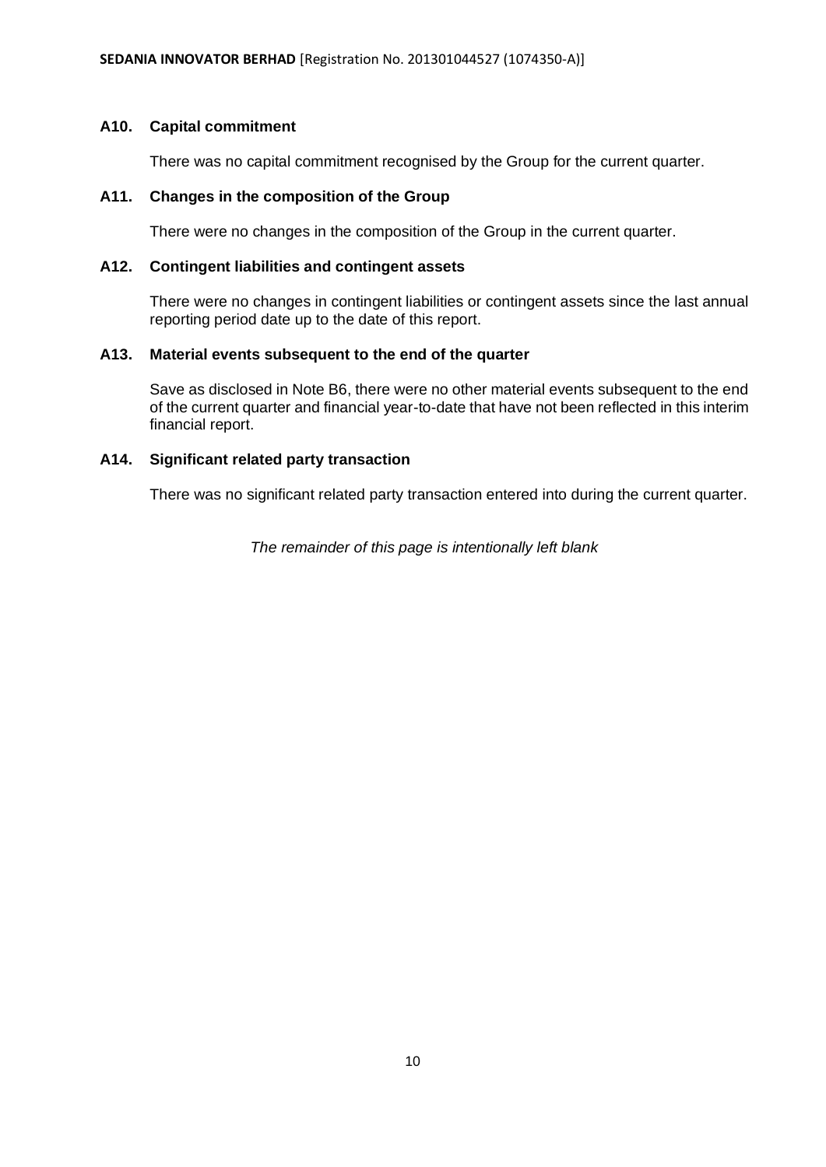# **A10. Capital commitment**

There was no capital commitment recognised by the Group for the current quarter.

# **A11. Changes in the composition of the Group**

There were no changes in the composition of the Group in the current quarter.

# **A12. Contingent liabilities and contingent assets**

There were no changes in contingent liabilities or contingent assets since the last annual reporting period date up to the date of this report.

# **A13. Material events subsequent to the end of the quarter**

Save as disclosed in Note B6, there were no other material events subsequent to the end of the current quarter and financial year-to-date that have not been reflected in this interim financial report.

# **A14. Significant related party transaction**

There was no significant related party transaction entered into during the current quarter.

*The remainder of this page is intentionally left blank*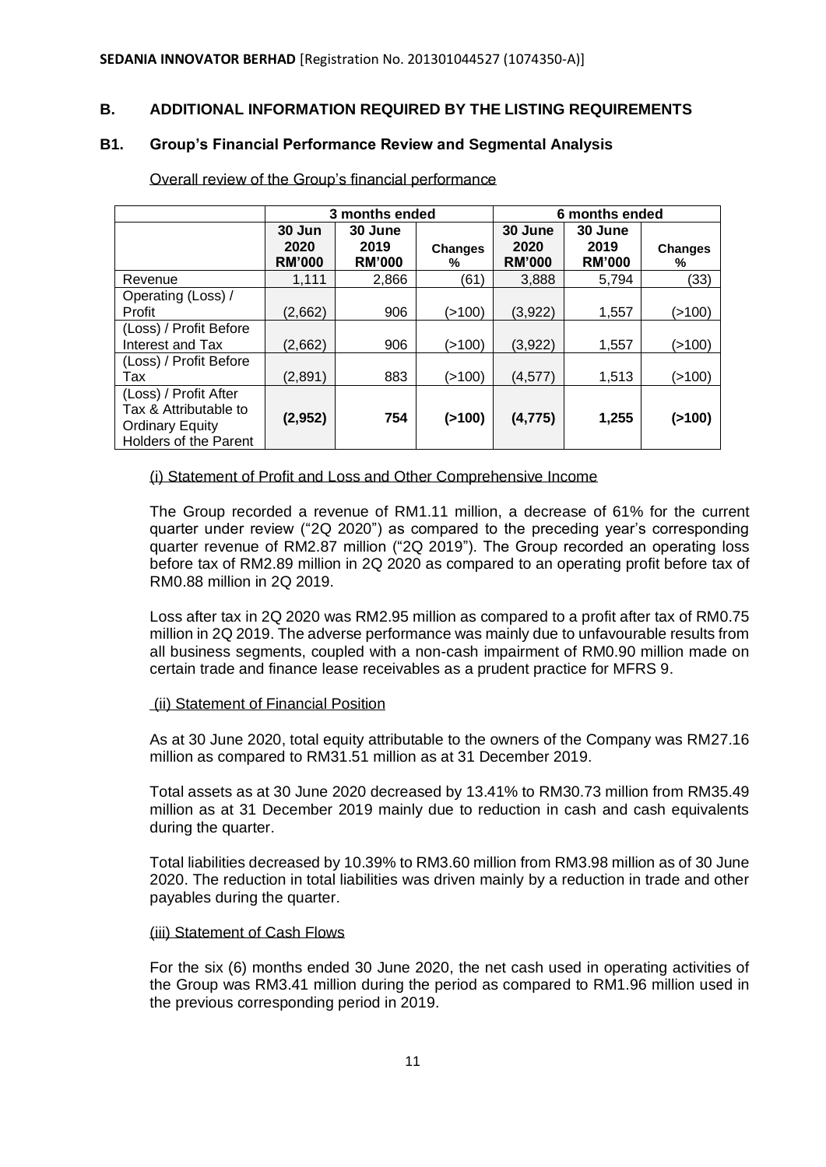# **B. ADDITIONAL INFORMATION REQUIRED BY THE LISTING REQUIREMENTS**

## **B1. Group's Financial Performance Review and Segmental Analysis**

|                                                                                                          | 3 months ended                  |                                  |                     | 6 months ended                   |                                  |                     |
|----------------------------------------------------------------------------------------------------------|---------------------------------|----------------------------------|---------------------|----------------------------------|----------------------------------|---------------------|
|                                                                                                          | 30 Jun<br>2020<br><b>RM'000</b> | 30 June<br>2019<br><b>RM'000</b> | <b>Changes</b><br>℅ | 30 June<br>2020<br><b>RM'000</b> | 30 June<br>2019<br><b>RM'000</b> | <b>Changes</b><br>% |
| Revenue                                                                                                  | 1.111                           | 2,866                            | (61)                | 3,888                            | 5.794                            | (33)                |
| Operating (Loss) /                                                                                       |                                 |                                  |                     |                                  |                                  |                     |
| Profit                                                                                                   | (2,662)                         | 906                              | (>100)              | (3,922)                          | 1,557                            | (>100)              |
| (Loss) / Profit Before<br>Interest and Tax                                                               | (2,662)                         | 906                              | (>100)              | (3,922)                          | 1,557                            | (>100)              |
| (Loss) / Profit Before<br>Tax                                                                            | (2,891)                         | 883                              | (>100)              | (4,577)                          | 1,513                            | (>100)              |
| (Loss) / Profit After<br>Tax & Attributable to<br><b>Ordinary Equity</b><br><b>Holders of the Parent</b> | (2,952)                         | 754                              | ( > 100)            | (4, 775)                         | 1,255                            | (>100)              |

Overall review of the Group's financial performance

(i) Statement of Profit and Loss and Other Comprehensive Income

The Group recorded a revenue of RM1.11 million, a decrease of 61% for the current quarter under review ("2Q 2020") as compared to the preceding year's corresponding quarter revenue of RM2.87 million ("2Q 2019"). The Group recorded an operating loss before tax of RM2.89 million in 2Q 2020 as compared to an operating profit before tax of RM0.88 million in 2Q 2019.

Loss after tax in 2Q 2020 was RM2.95 million as compared to a profit after tax of RM0.75 million in 2Q 2019. The adverse performance was mainly due to unfavourable results from all business segments, coupled with a non-cash impairment of RM0.90 million made on certain trade and finance lease receivables as a prudent practice for MFRS 9.

#### (ii) Statement of Financial Position

As at 30 June 2020, total equity attributable to the owners of the Company was RM27.16 million as compared to RM31.51 million as at 31 December 2019.

Total assets as at 30 June 2020 decreased by 13.41% to RM30.73 million from RM35.49 million as at 31 December 2019 mainly due to reduction in cash and cash equivalents during the quarter.

Total liabilities decreased by 10.39% to RM3.60 million from RM3.98 million as of 30 June 2020. The reduction in total liabilities was driven mainly by a reduction in trade and other payables during the quarter.

#### (iii) Statement of Cash Flows

For the six (6) months ended 30 June 2020, the net cash used in operating activities of the Group was RM3.41 million during the period as compared to RM1.96 million used in the previous corresponding period in 2019.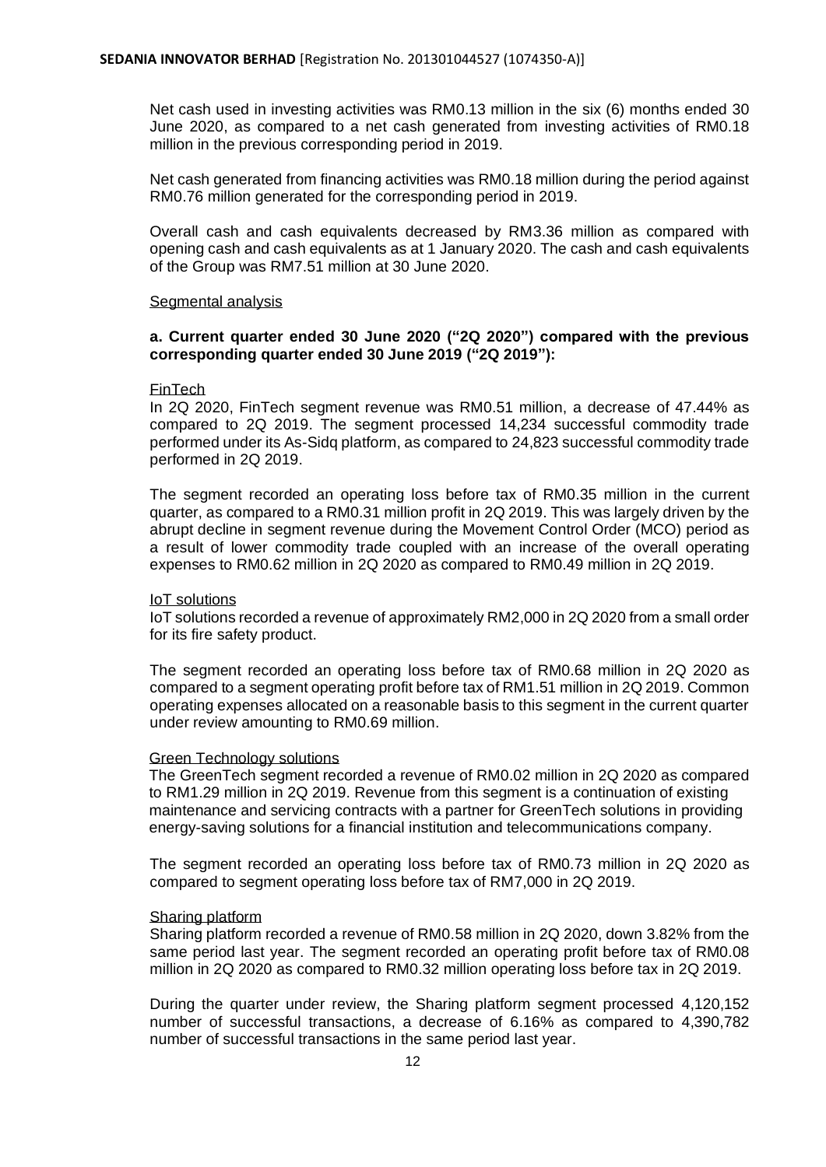Net cash used in investing activities was RM0.13 million in the six (6) months ended 30 June 2020, as compared to a net cash generated from investing activities of RM0.18 million in the previous corresponding period in 2019.

Net cash generated from financing activities was RM0.18 million during the period against RM0.76 million generated for the corresponding period in 2019.

Overall cash and cash equivalents decreased by RM3.36 million as compared with opening cash and cash equivalents as at 1 January 2020. The cash and cash equivalents of the Group was RM7.51 million at 30 June 2020.

#### Segmental analysis

### **a. Current quarter ended 30 June 2020 ("2Q 2020") compared with the previous corresponding quarter ended 30 June 2019 ("2Q 2019"):**

#### FinTech

In 2Q 2020, FinTech segment revenue was RM0.51 million, a decrease of 47.44% as compared to 2Q 2019. The segment processed 14,234 successful commodity trade performed under its As-Sidq platform, as compared to 24,823 successful commodity trade performed in 2Q 2019.

The segment recorded an operating loss before tax of RM0.35 million in the current quarter, as compared to a RM0.31 million profit in 2Q 2019. This was largely driven by the abrupt decline in segment revenue during the Movement Control Order (MCO) period as a result of lower commodity trade coupled with an increase of the overall operating expenses to RM0.62 million in 2Q 2020 as compared to RM0.49 million in 2Q 2019.

#### IoT solutions

IoT solutions recorded a revenue of approximately RM2,000 in 2Q 2020 from a small order for its fire safety product.

The segment recorded an operating loss before tax of RM0.68 million in 2Q 2020 as compared to a segment operating profit before tax of RM1.51 million in 2Q 2019. Common operating expenses allocated on a reasonable basis to this segment in the current quarter under review amounting to RM0.69 million.

#### Green Technology solutions

The GreenTech segment recorded a revenue of RM0.02 million in 2Q 2020 as compared to RM1.29 million in 2Q 2019. Revenue from this segment is a continuation of existing maintenance and servicing contracts with a partner for GreenTech solutions in providing energy-saving solutions for a financial institution and telecommunications company.

The segment recorded an operating loss before tax of RM0.73 million in 2Q 2020 as compared to segment operating loss before tax of RM7,000 in 2Q 2019.

#### Sharing platform

Sharing platform recorded a revenue of RM0.58 million in 2Q 2020, down 3.82% from the same period last year. The segment recorded an operating profit before tax of RM0.08 million in 2Q 2020 as compared to RM0.32 million operating loss before tax in 2Q 2019.

During the quarter under review, the Sharing platform segment processed 4,120,152 number of successful transactions, a decrease of 6.16% as compared to 4,390,782 number of successful transactions in the same period last year.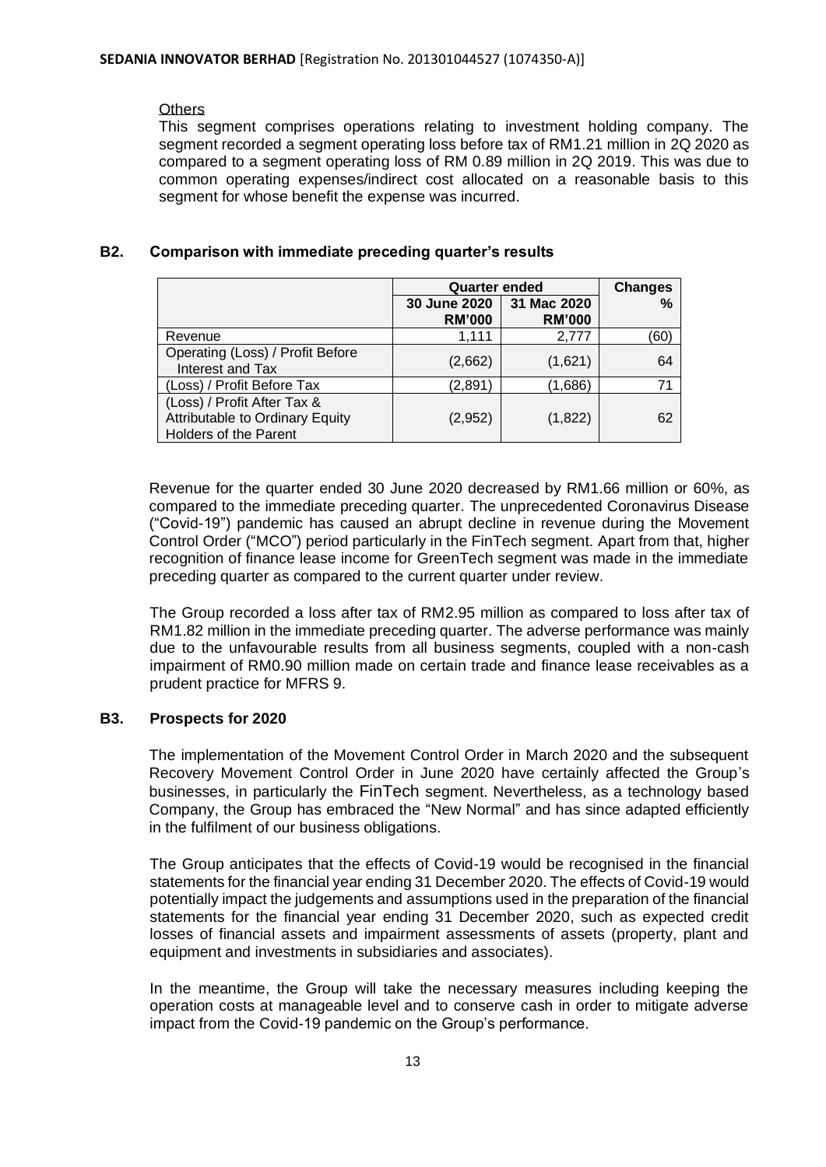# **Others**

This segment comprises operations relating to investment holding company. The segment recorded a segment operating loss before tax of RM1.21 million in 2Q 2020 as compared to a segment operating loss of RM 0.89 million in 2Q 2019. This was due to common operating expenses/indirect cost allocated on a reasonable basis to this segment for whose benefit the expense was incurred.

# **B2. Comparison with immediate preceding quarter's results**

|                                                                                                | <b>Quarter ended</b>          | <b>Changes</b>               |      |
|------------------------------------------------------------------------------------------------|-------------------------------|------------------------------|------|
|                                                                                                | 30 June 2020<br><b>RM'000</b> | 31 Mac 2020<br><b>RM'000</b> | %    |
| Revenue                                                                                        | 1.111                         | 2.777                        | (60) |
| Operating (Loss) / Profit Before<br>Interest and Tax                                           | (2,662)                       | (1,621)                      | 64   |
| (Loss) / Profit Before Tax                                                                     | (2,891)                       | (1,686)                      | 71   |
| (Loss) / Profit After Tax &<br>Attributable to Ordinary Equity<br><b>Holders of the Parent</b> | (2,952)                       | (1,822)                      | 62   |

Revenue for the quarter ended 30 June 2020 decreased by RM1.66 million or 60%, as compared to the immediate preceding quarter. The unprecedented Coronavirus Disease ("Covid-19") pandemic has caused an abrupt decline in revenue during the Movement Control Order ("MCO") period particularly in the FinTech segment. Apart from that, higher recognition of finance lease income for GreenTech segment was made in the immediate preceding quarter as compared to the current quarter under review.

The Group recorded a loss after tax of RM2.95 million as compared to loss after tax of RM1.82 million in the immediate preceding quarter. The adverse performance was mainly due to the unfavourable results from all business segments, coupled with a non-cash impairment of RM0.90 million made on certain trade and finance lease receivables as a prudent practice for MFRS 9.

# **B3. Prospects for 2020**

The implementation of the Movement Control Order in March 2020 and the subsequent Recovery Movement Control Order in June 2020 have certainly affected the Group's businesses, in particularly the FinTech segment. Nevertheless, as a technology based Company, the Group has embraced the "New Normal" and has since adapted efficiently in the fulfilment of our business obligations.

The Group anticipates that the effects of Covid-19 would be recognised in the financial statements for the financial year ending 31 December 2020. The effects of Covid-19 would potentially impact the judgements and assumptions used in the preparation of the financial statements for the financial year ending 31 December 2020, such as expected credit losses of financial assets and impairment assessments of assets (property, plant and equipment and investments in subsidiaries and associates).

In the meantime, the Group will take the necessary measures including keeping the operation costs at manageable level and to conserve cash in order to mitigate adverse impact from the Covid-19 pandemic on the Group's performance.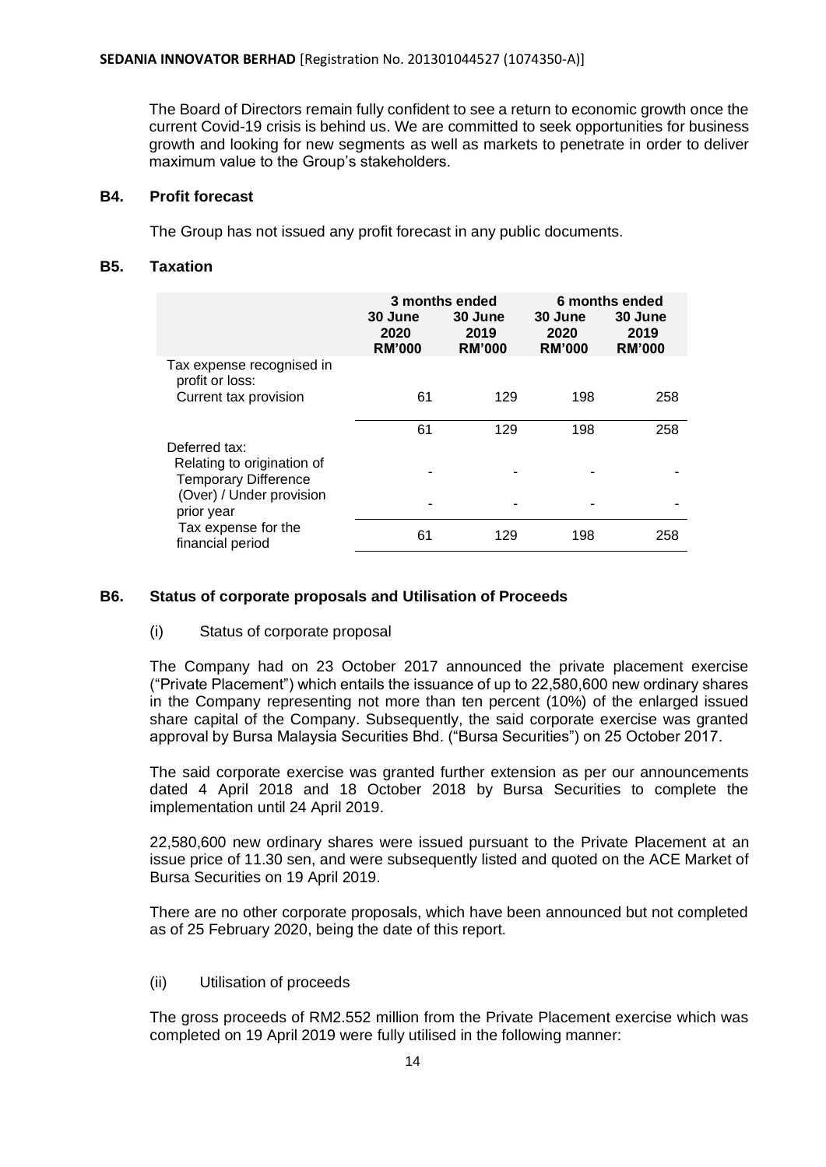The Board of Directors remain fully confident to see a return to economic growth once the current Covid-19 crisis is behind us. We are committed to seek opportunities for business growth and looking for new segments as well as markets to penetrate in order to deliver maximum value to the Group's stakeholders.

# **B4. Profit forecast**

The Group has not issued any profit forecast in any public documents.

# **B5. Taxation**

|                                                                            |                                  | 3 months ended                   | 6 months ended                   |                                  |
|----------------------------------------------------------------------------|----------------------------------|----------------------------------|----------------------------------|----------------------------------|
|                                                                            | 30 June<br>2020<br><b>RM'000</b> | 30 June<br>2019<br><b>RM'000</b> | 30 June<br>2020<br><b>RM'000</b> | 30 June<br>2019<br><b>RM'000</b> |
| Tax expense recognised in<br>profit or loss:                               |                                  |                                  |                                  |                                  |
| Current tax provision                                                      | 61                               | 129                              | 198                              | 258                              |
|                                                                            | 61                               | 129                              | 198                              | 258                              |
| Deferred tax:<br>Relating to origination of<br><b>Temporary Difference</b> |                                  |                                  |                                  |                                  |
| (Over) / Under provision<br>prior year                                     |                                  |                                  |                                  |                                  |
| Tax expense for the<br>financial period                                    | 61                               | 129                              | 198                              | 258                              |

# **B6. Status of corporate proposals and Utilisation of Proceeds**

#### (i) Status of corporate proposal

The Company had on 23 October 2017 announced the private placement exercise ("Private Placement") which entails the issuance of up to 22,580,600 new ordinary shares in the Company representing not more than ten percent (10%) of the enlarged issued share capital of the Company. Subsequently, the said corporate exercise was granted approval by Bursa Malaysia Securities Bhd. ("Bursa Securities") on 25 October 2017.

The said corporate exercise was granted further extension as per our announcements dated 4 April 2018 and 18 October 2018 by Bursa Securities to complete the implementation until 24 April 2019.

22,580,600 new ordinary shares were issued pursuant to the Private Placement at an issue price of 11.30 sen, and were subsequently listed and quoted on the ACE Market of Bursa Securities on 19 April 2019.

There are no other corporate proposals, which have been announced but not completed as of 25 February 2020, being the date of this report.

#### (ii) Utilisation of proceeds

The gross proceeds of RM2.552 million from the Private Placement exercise which was completed on 19 April 2019 were fully utilised in the following manner: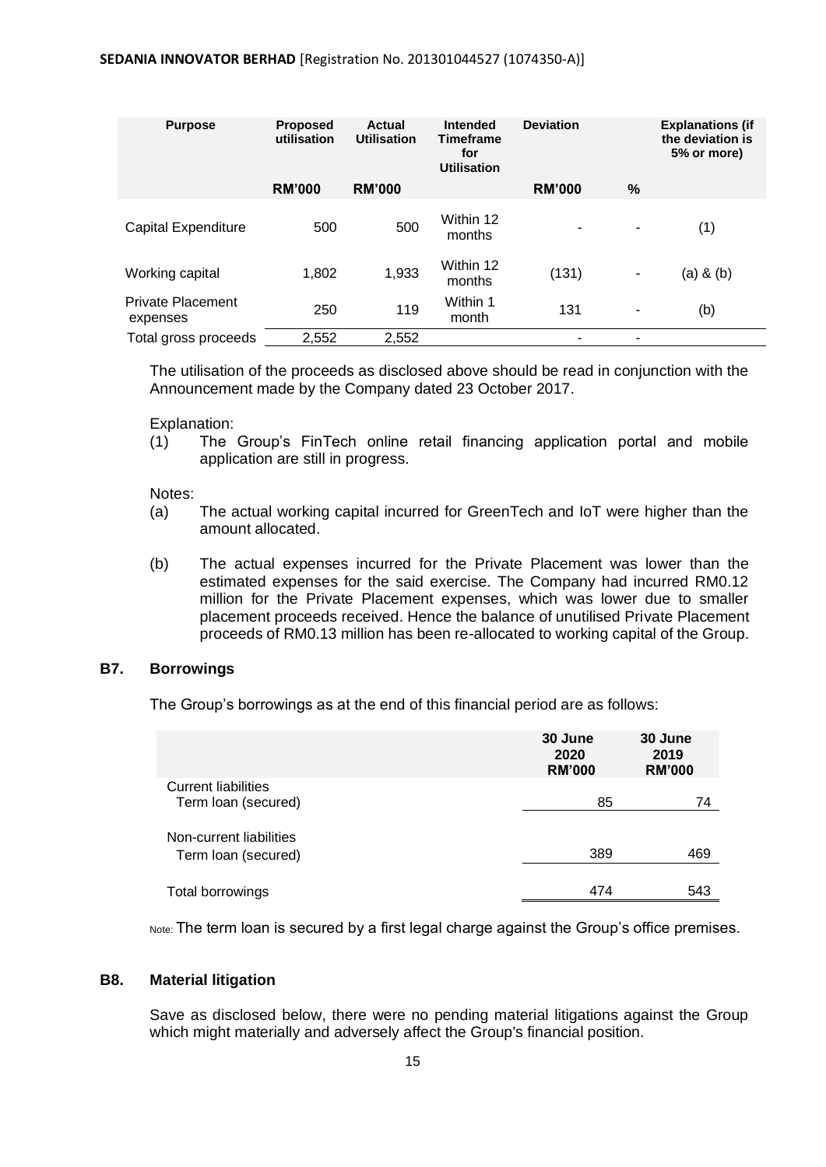| <b>Purpose</b>                | <b>Proposed</b><br>utilisation | Actual<br><b>Utilisation</b> | Intended<br><b>Timeframe</b><br>for<br><b>Utilisation</b> | <b>Deviation</b> |      | <b>Explanations (if</b><br>the deviation is<br>5% or more) |
|-------------------------------|--------------------------------|------------------------------|-----------------------------------------------------------|------------------|------|------------------------------------------------------------|
|                               | <b>RM'000</b>                  | <b>RM'000</b>                |                                                           | <b>RM'000</b>    | $\%$ |                                                            |
| Capital Expenditure           | 500                            | 500                          | Within 12<br>months                                       | ۰                | ٠    | (1)                                                        |
| Working capital               | 1,802                          | 1,933                        | Within 12<br>months                                       | (131)            | ۰    | $(a)$ & $(b)$                                              |
| Private Placement<br>expenses | 250                            | 119                          | Within 1<br>month                                         | 131              | ٠    | (b)                                                        |
| Total gross proceeds          | 2,552                          | 2,552                        |                                                           | ۰                | ٠    |                                                            |

The utilisation of the proceeds as disclosed above should be read in conjunction with the Announcement made by the Company dated 23 October 2017.

Explanation:

(1) The Group's FinTech online retail financing application portal and mobile application are still in progress.

Notes:

- (a) The actual working capital incurred for GreenTech and IoT were higher than the amount allocated.
- (b) The actual expenses incurred for the Private Placement was lower than the estimated expenses for the said exercise. The Company had incurred RM0.12 million for the Private Placement expenses, which was lower due to smaller placement proceeds received. Hence the balance of unutilised Private Placement proceeds of RM0.13 million has been re-allocated to working capital of the Group.

#### **B7. Borrowings**

The Group's borrowings as at the end of this financial period are as follows:

|                                                   | 30 June<br>2020<br><b>RM'000</b> | 30 June<br>2019<br><b>RM'000</b> |
|---------------------------------------------------|----------------------------------|----------------------------------|
| <b>Current liabilities</b><br>Term loan (secured) | 85                               | 74                               |
| Non-current liabilities<br>Term loan (secured)    | 389                              | 469                              |
| Total borrowings                                  | 474                              | 543                              |

Note: The term loan is secured by a first legal charge against the Group's office premises.

#### **B8. Material litigation**

Save as disclosed below, there were no pending material litigations against the Group which might materially and adversely affect the Group's financial position.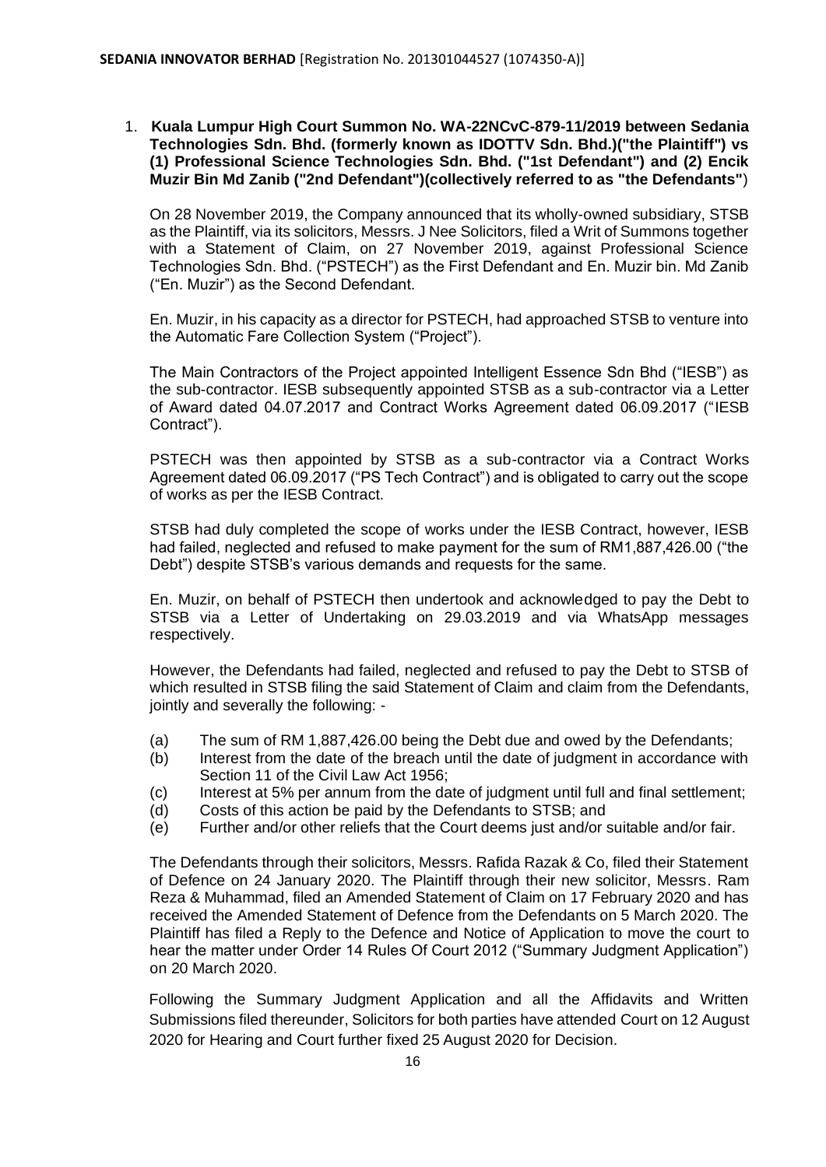1. **Kuala Lumpur High Court Summon No. WA-22NCvC-879-11/2019 between Sedania Technologies Sdn. Bhd. (formerly known as IDOTTV Sdn. Bhd.)("the Plaintiff") vs (1) Professional Science Technologies Sdn. Bhd. ("1st Defendant") and (2) Encik Muzir Bin Md Zanib ("2nd Defendant")(collectively referred to as "the Defendants"**)

On 28 November 2019, the Company announced that its wholly-owned subsidiary, STSB as the Plaintiff, via its solicitors, Messrs. J Nee Solicitors, filed a Writ of Summons together with a Statement of Claim, on 27 November 2019, against Professional Science Technologies Sdn. Bhd. ("PSTECH") as the First Defendant and En. Muzir bin. Md Zanib ("En. Muzir") as the Second Defendant.

En. Muzir, in his capacity as a director for PSTECH, had approached STSB to venture into the Automatic Fare Collection System ("Project").

The Main Contractors of the Project appointed Intelligent Essence Sdn Bhd ("IESB") as the sub-contractor. IESB subsequently appointed STSB as a sub-contractor via a Letter of Award dated 04.07.2017 and Contract Works Agreement dated 06.09.2017 ("IESB Contract").

PSTECH was then appointed by STSB as a sub-contractor via a Contract Works Agreement dated 06.09.2017 ("PS Tech Contract") and is obligated to carry out the scope of works as per the IESB Contract.

STSB had duly completed the scope of works under the IESB Contract, however, IESB had failed, neglected and refused to make payment for the sum of RM1,887,426.00 ("the Debt") despite STSB's various demands and requests for the same.

En. Muzir, on behalf of PSTECH then undertook and acknowledged to pay the Debt to STSB via a Letter of Undertaking on 29.03.2019 and via WhatsApp messages respectively.

However, the Defendants had failed, neglected and refused to pay the Debt to STSB of which resulted in STSB filing the said Statement of Claim and claim from the Defendants, jointly and severally the following: -

- (a) The sum of RM 1,887,426.00 being the Debt due and owed by the Defendants;
- (b) Interest from the date of the breach until the date of judgment in accordance with Section 11 of the Civil Law Act 1956;
- (c) Interest at 5% per annum from the date of judgment until full and final settlement;
- (d) Costs of this action be paid by the Defendants to STSB; and
- (e) Further and/or other reliefs that the Court deems just and/or suitable and/or fair.

The Defendants through their solicitors, Messrs. Rafida Razak & Co, filed their Statement of Defence on 24 January 2020. The Plaintiff through their new solicitor, Messrs. Ram Reza & Muhammad, filed an Amended Statement of Claim on 17 February 2020 and has received the Amended Statement of Defence from the Defendants on 5 March 2020. The Plaintiff has filed a Reply to the Defence and Notice of Application to move the court to hear the matter under Order 14 Rules Of Court 2012 ("Summary Judgment Application") on 20 March 2020.

Following the Summary Judgment Application and all the Affidavits and Written Submissions filed thereunder, Solicitors for both parties have attended Court on 12 August 2020 for Hearing and Court further fixed 25 August 2020 for Decision.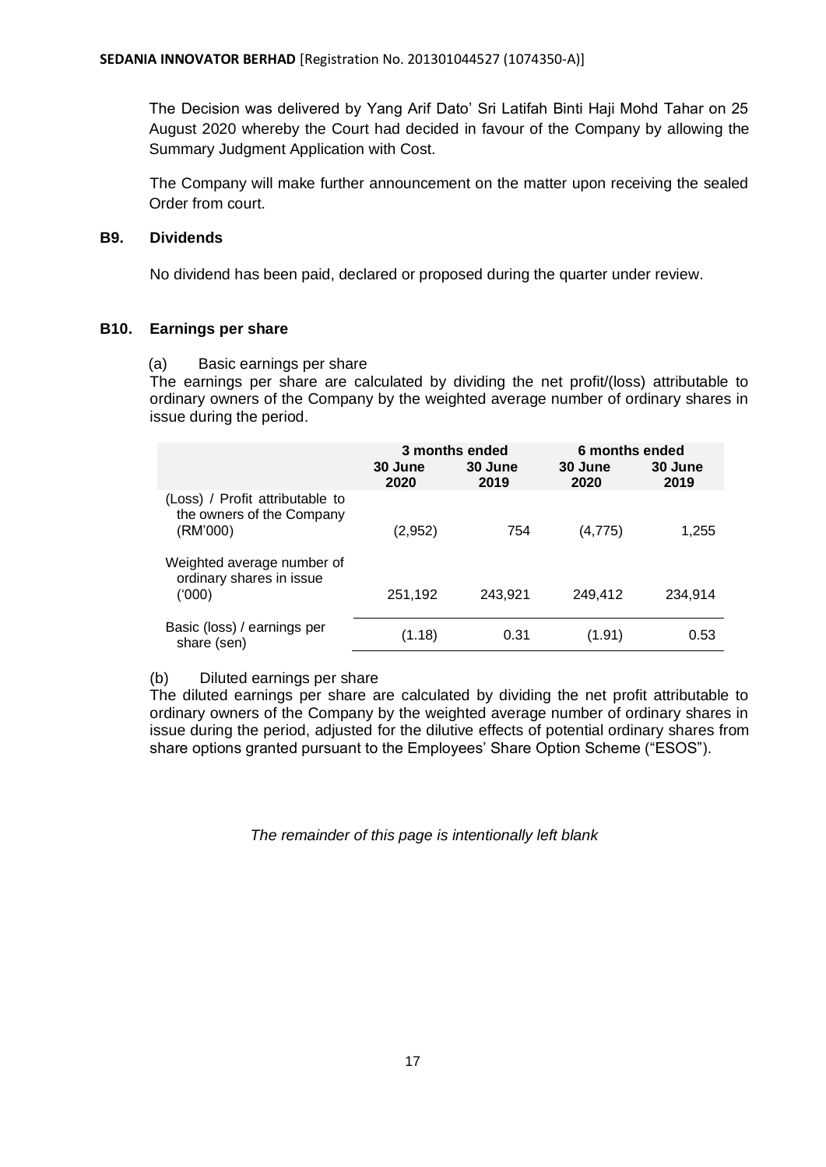The Decision was delivered by Yang Arif Dato' Sri Latifah Binti Haji Mohd Tahar on 25 August 2020 whereby the Court had decided in favour of the Company by allowing the Summary Judgment Application with Cost.

The Company will make further announcement on the matter upon receiving the sealed Order from court.

# **B9. Dividends**

No dividend has been paid, declared or proposed during the quarter under review.

# **B10. Earnings per share**

(a) Basic earnings per share

The earnings per share are calculated by dividing the net profit/(loss) attributable to ordinary owners of the Company by the weighted average number of ordinary shares in issue during the period.

|                                                                          | 3 months ended  |                 | 6 months ended  |                 |
|--------------------------------------------------------------------------|-----------------|-----------------|-----------------|-----------------|
|                                                                          | 30 June<br>2020 | 30 June<br>2019 | 30 June<br>2020 | 30 June<br>2019 |
| (Loss) / Profit attributable to<br>the owners of the Company<br>(RM'000) | (2,952)         | 754             | (4, 775)        | 1,255           |
| Weighted average number of<br>ordinary shares in issue<br>(000)          | 251,192         | 243,921         | 249,412         | 234,914         |
| Basic (loss) / earnings per<br>share (sen)                               | (1.18)          | 0.31            | (1.91)          | 0.53            |

(b) Diluted earnings per share

The diluted earnings per share are calculated by dividing the net profit attributable to ordinary owners of the Company by the weighted average number of ordinary shares in issue during the period, adjusted for the dilutive effects of potential ordinary shares from share options granted pursuant to the Employees' Share Option Scheme ("ESOS").

*The remainder of this page is intentionally left blank*